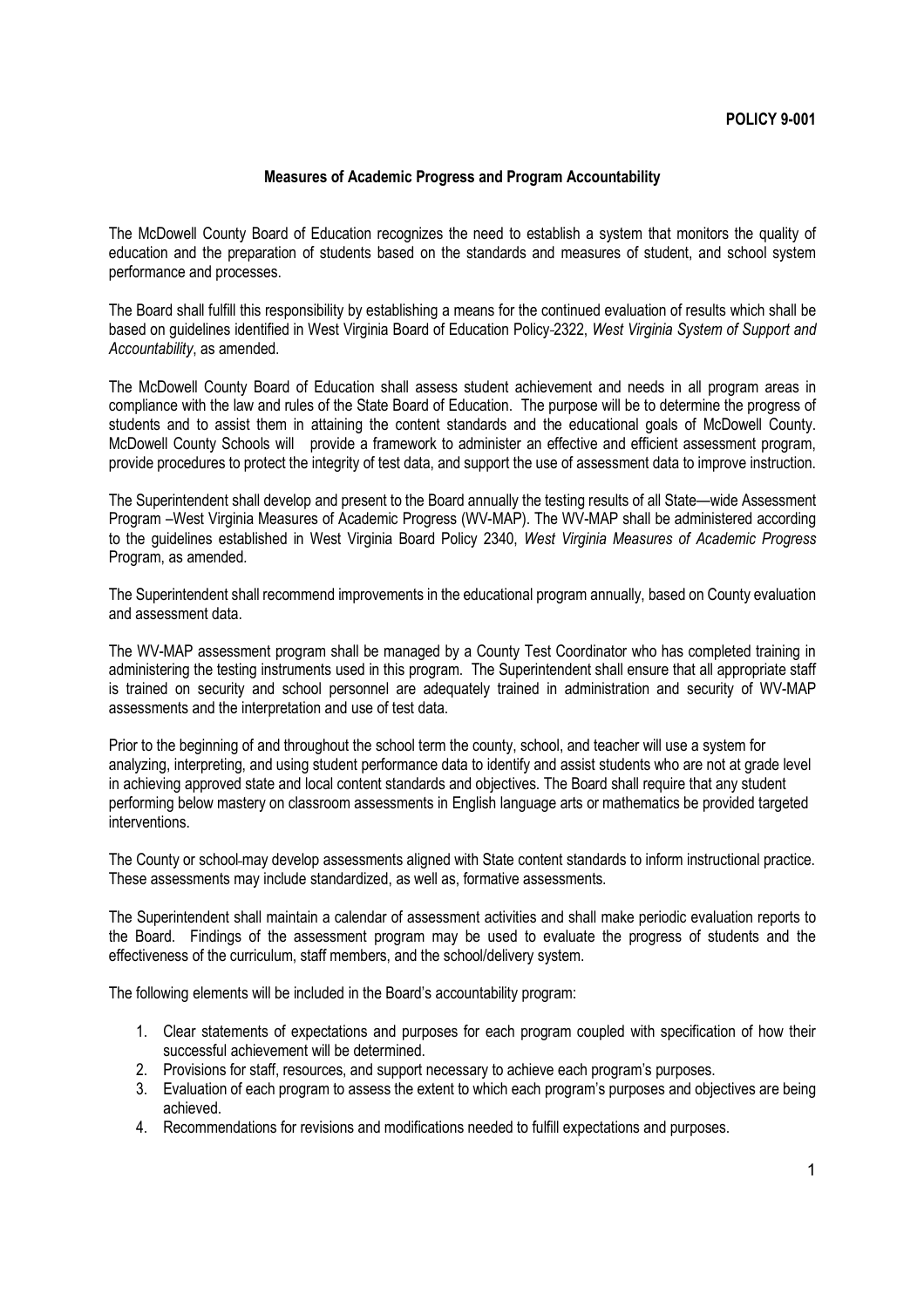## **Measures of Academic Progress and Program Accountability**

The McDowell County Board of Education recognizes the need to establish a system that monitors the quality of education and the preparation of students based on the standards and measures of student, and school system performance and processes.

The Board shall fulfill this responsibility by establishing a means for the continued evaluation of results which shall be based on guidelines identified in West Virginia Board of Education Policy 2322, *West Virginia System of Support and Accountability*, as amended.

The McDowell County Board of Education shall assess student achievement and needs in all program areas in compliance with the law and rules of the State Board of Education. The purpose will be to determine the progress of students and to assist them in attaining the content standards and the educational goals of McDowell County. McDowell County Schools will provide a framework to administer an effective and efficient assessment program, provide procedures to protect the integrity of test data, and support the use of assessment data to improve instruction.

The Superintendent shall develop and present to the Board annually the testing results of all State—wide Assessment Program –West Virginia Measures of Academic Progress (WV-MAP). The WV-MAP shall be administered according to the guidelines established in West Virginia Board Policy 2340, *West Virginia Measures of Academic Progress* Program, as amended*.*

The Superintendent shall recommend improvements in the educational program annually, based on County evaluation and assessment data.

The WV-MAP assessment program shall be managed by a County Test Coordinator who has completed training in administering the testing instruments used in this program. The Superintendent shall ensure that all appropriate staff is trained on security and school personnel are adequately trained in administration and security of WV-MAP assessments and the interpretation and use of test data.

Prior to the beginning of and throughout the school term the county, school, and teacher will use a system for analyzing, interpreting, and using student performance data to identify and assist students who are not at grade level in achieving approved state and local content standards and objectives. The Board shall require that any student performing below mastery on classroom assessments in English language arts or mathematics be provided targeted interventions.

The County or school-may develop assessments aligned with State content standards to inform instructional practice. These assessments may include standardized, as well as, formative assessments.

The Superintendent shall maintain a calendar of assessment activities and shall make periodic evaluation reports to the Board. Findings of the assessment program may be used to evaluate the progress of students and the effectiveness of the curriculum, staff members, and the school/delivery system.

The following elements will be included in the Board's accountability program:

- 1. Clear statements of expectations and purposes for each program coupled with specification of how their successful achievement will be determined.
- 2. Provisions for staff, resources, and support necessary to achieve each program's purposes.
- 3. Evaluation of each program to assess the extent to which each program's purposes and objectives are being achieved.
- 4. Recommendations for revisions and modifications needed to fulfill expectations and purposes.